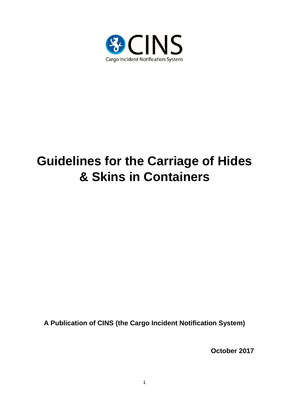

# **Guidelines for the Carriage of Hides & Skins in Containers**

**A Publication of CINS (the Cargo Incident Notification System)**

**October 2017**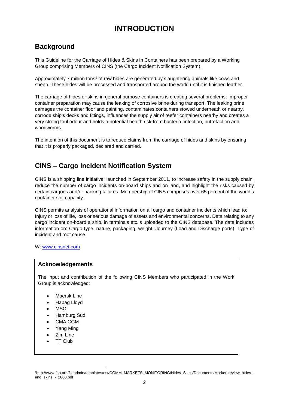## **INTRODUCTION**

## **Background**

This Guideline for the Carriage of Hides & Skins in Containers has been prepared by a Working Group comprising Members of CINS (the Cargo Incident Notification System).

Approximately 7 million tons<sup>1</sup> of raw hides are generated by slaughtering animals like cows and sheep. These hides will be processed and transported around the world until it is finished leather.

The carriage of hides or skins in general purpose containers is creating several problems. Improper container preparation may cause the leaking of corrosive brine during transport. The leaking brine damages the container floor and painting, contaminates containers stowed underneath or nearby, corrode ship's decks and fittings, influences the supply air of reefer containers nearby and creates a very strong foul odour and holds a potential health risk from bacteria, infection, putrefaction and woodworms.

The intention of this document is to reduce claims from the carriage of hides and skins by ensuring that it is properly packaged, declared and carried.

## **CINS – Cargo Incident Notification System**

CINS is a shipping line initiative, launched in September 2011, to increase safety in the supply chain, reduce the number of cargo incidents on-board ships and on land, and highlight the risks caused by certain cargoes and/or packing failures. Membership of CINS comprises over 65 percent of the world's container slot capacity.

CINS permits analysis of operational information on all cargo and container incidents which lead to: Injury or loss of life, loss or serious damage of assets and environmental concerns. Data relating to any cargo incident on-board a ship, in terminals etc.is uploaded to the CINS database. The data includes information on: Cargo type, nature, packaging, weight; Journey (Load and Discharge ports); Type of incident and root cause.

W: [www.cinsnet.com](http://www.cinsnet.com/)

#### **Acknowledgements**

The input and contribution of the following CINS Members who participated in the Work Group is acknowledged:

- Maersk Line
- Hapag Lloyd
- MSC
- Hamburg Süd
- CMA CGM
- Yang Ming
- Zim Line
- TT Club

1

<sup>1</sup>http://www.fao.org/fileadmin/templates/est/COMM\_MARKETS\_MONITORING/Hides\_Skins/Documents/Market\_review\_hides\_ and\_skins\_-\_2008.pdf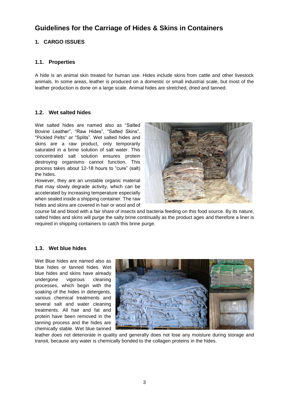### **Guidelines for the Carriage of Hides & Skins in Containers**

#### **1. CARGO ISSUES**

#### **1.1. Properties**

A hide is an animal skin treated for human use. Hides include skins from cattle and other livestock animals. In some areas, leather is produced on a domestic or small industrial scale, but most of the leather production is done on a large scale. Animal hides are stretched, dried and tanned.

#### **1.2. Wet salted hides**

Wet salted hides are named also as "Salted Bovine Leather", "Raw Hides", "Salted Skins", "Pickled Pelts" or "Splits". Wet salted hides and skins are a raw product, only temporarily saturated in a brine solution of salt water. This concentrated salt solution ensures protein destroying organisms cannot function. This process takes about 12-18 hours to "cure" (salt) the hides.

However, they are an unstable organic material that may slowly degrade activity, which can be accelerated by increasing temperature especially when sealed inside a shipping container. The raw hides and skins are covered in hair or wool and of



course fat and blood with a fair share of insects and bacteria feeding on this food source. By its nature, salted hides and skins will purge the salty brine continually as the product ages and therefore a liner is required in shipping containers to catch this brine purge.

#### **1.3. Wet blue hides**

Wet Blue hides are named also as blue hides or tanned hides. Wet blue hides and skins have already undergone vigorous cleaning processes, which begin with the soaking of the hides in detergents, various chemical treatments and several salt and water cleaning treatments. All hair and fat and protein have been removed in the tanning process and the hides are chemically stable. Wet blue tanned



leather does not deteriorate in quality and generally does not lose any moisture during storage and transit, because any water is chemically bonded to the collagen proteins in the hides.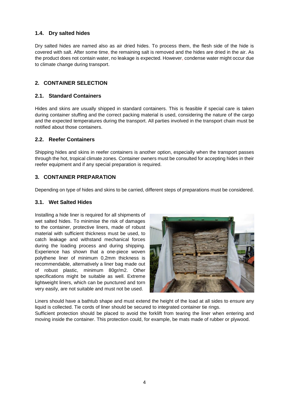#### **1.4. Dry salted hides**

Dry salted hides are named also as air dried hides. To process them, the flesh side of the hide is covered with salt. After some time, the remaining salt is removed and the hides are dried in the air. As the product does not contain water, no leakage is expected. However, condense water might occur due to climate change during transport.

#### **2. CONTAINER SELECTION**

#### **2.1. Standard Containers**

Hides and skins are usually shipped in standard containers. This is feasible if special care is taken during container stuffing and the correct packing material is used, considering the nature of the cargo and the expected temperatures during the transport. All parties involved in the transport chain must be notified about those containers.

#### **2.2. Reefer Containers**

Shipping hides and skins in reefer containers is another option, especially when the transport passes through the hot, tropical climate zones. Container owners must be consulted for accepting hides in their reefer equipment and if any special preparation is required.

#### **3. CONTAINER PREPARATION**

Depending on type of hides and skins to be carried, different steps of preparations must be considered.

#### **3.1. Wet Salted Hides**

Installing a hide liner is required for all shipments of wet salted hides. To minimise the risk of damages to the container, protective liners, made of robust material with sufficient thickness must be used, to catch leakage and withstand mechanical forces during the loading process and during shipping. Experience has shown that a one-piece woven polythene liner of minimum 0,2mm thickness is recommendable, alternatively a liner bag made out of robust plastic, minimum 80gr/m2. Other specifications might be suitable as well. Extreme lightweight liners, which can be punctured and torn very easily, are not suitable and must not be used.



Liners should have a bathtub shape and must extend the height of the load at all sides to ensure any liquid is collected. Tie cords of liner should be secured to integrated container tie rings. Sufficient protection should be placed to avoid the forklift from tearing the liner when entering and moving inside the container. This protection could, for example, be mats made of rubber or plywood.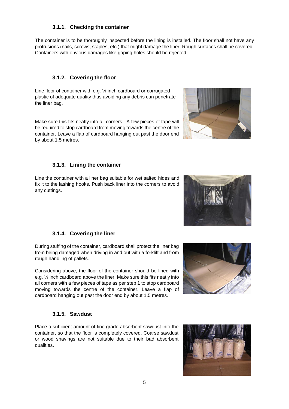#### **3.1.1. Checking the container**

The container is to be thoroughly inspected before the lining is installed. The floor shall not have any protrusions (nails, screws, staples, etc.) that might damage the liner. Rough surfaces shall be covered. Containers with obvious damages like gaping holes should be rejected.

#### **3.1.2. Covering the floor**

Line floor of container with e.g. ¼ inch cardboard or corrugated plastic of adequate quality thus avoiding any debris can penetrate the liner bag.

Make sure this fits neatly into all corners. A few pieces of tape will be required to stop cardboard from moving towards the centre of the container. Leave a flap of cardboard hanging out past the door end by about 1.5 metres.

#### **3.1.3. Lining the container**

Line the container with a liner bag suitable for wet salted hides and fix it to the lashing hooks. Push back liner into the corners to avoid any cuttings.

#### **3.1.4. Covering the liner**

During stuffing of the container, cardboard shall protect the liner bag from being damaged when driving in and out with a forklift and from rough handling of pallets.

Considering above, the floor of the container should be lined with e.g. ¼ inch cardboard above the liner. Make sure this fits neatly into all corners with a few pieces of tape as per step 1 to stop cardboard moving towards the centre of the container. Leave a flap of cardboard hanging out past the door end by about 1.5 metres.

#### **3.1.5. Sawdust**

Place a sufficient amount of fine grade absorbent sawdust into the container, so that the floor is completely covered. Coarse sawdust or wood shavings are not suitable due to their bad absorbent qualities.







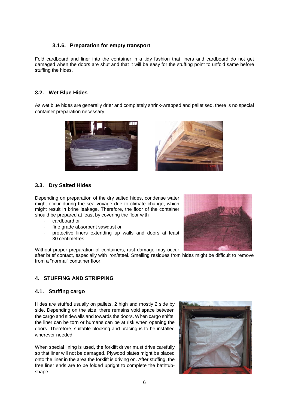#### **3.1.6. Preparation for empty transport**

Fold cardboard and liner into the container in a tidy fashion that liners and cardboard do not get damaged when the doors are shut and that it will be easy for the stuffing point to unfold same before stuffing the hides.

#### **3.2. Wet Blue Hides**

As wet blue hides are generally drier and completely shrink-wrapped and palletised, there is no special container preparation necessary.





#### **3.3. Dry Salted Hides**

Depending on preparation of the dry salted hides, condense water might occur during the sea voyage due to climate change, which might result in brine leakage. Therefore, the floor of the container should be prepared at least by covering the floor with

- cardboard or
- fine grade absorbent sawdust or
- protective liners extending up walls and doors at least 30 centimetres.

Without proper preparation of containers, rust damage may occur

after brief contact, especially with iron/steel. Smelling residues from hides might be difficult to remove from a "normal" container floor.

#### **4. STUFFING AND STRIPPING**

#### **4.1. Stuffing cargo**

Hides are stuffed usually on pallets, 2 high and mostly 2 side by side. Depending on the size, there remains void space between the cargo and sidewalls and towards the doors. When cargo shifts, the liner can be torn or humans can be at risk when opening the doors. Therefore, suitable blocking and bracing is to be installed wherever needed.

When special lining is used, the forklift driver must drive carefully so that liner will not be damaged. Plywood plates might be placed onto the liner in the area the forklift is driving on. After stuffing, the free liner ends are to be folded upright to complete the bathtubshape.



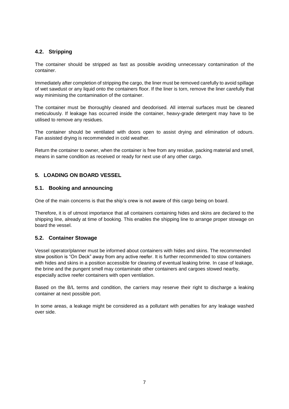#### **4.2. Stripping**

The container should be stripped as fast as possible avoiding unnecessary contamination of the container.

Immediately after completion of stripping the cargo, the liner must be removed carefully to avoid spillage of wet sawdust or any liquid onto the containers floor. If the liner is torn, remove the liner carefully that way minimising the contamination of the container.

The container must be thoroughly cleaned and deodorised. All internal surfaces must be cleaned meticulously. If leakage has occurred inside the container, heavy-grade detergent may have to be utilised to remove any residues.

The container should be ventilated with doors open to assist drying and elimination of odours. Fan assisted drying is recommended in cold weather.

Return the container to owner, when the container is free from any residue, packing material and smell, means in same condition as received or ready for next use of any other cargo.

#### **5. LOADING ON BOARD VESSEL**

#### **5.1. Booking and announcing**

One of the main concerns is that the ship's crew is not aware of this cargo being on board.

Therefore, it is of utmost importance that all containers containing hides and skins are declared to the shipping line, already at time of booking. This enables the shipping line to arrange proper stowage on board the vessel.

#### **5.2. Container Stowage**

Vessel operator/planner must be informed about containers with hides and skins. The recommended stow position is "On Deck" away from any active reefer. It is further recommended to stow containers with hides and skins in a position accessible for cleaning of eventual leaking brine. In case of leakage, the brine and the pungent smell may contaminate other containers and cargoes stowed nearby, especially active reefer containers with open ventilation.

Based on the B/L terms and condition, the carriers may reserve their right to discharge a leaking container at next possible port.

In some areas, a leakage might be considered as a pollutant with penalties for any leakage washed over side.